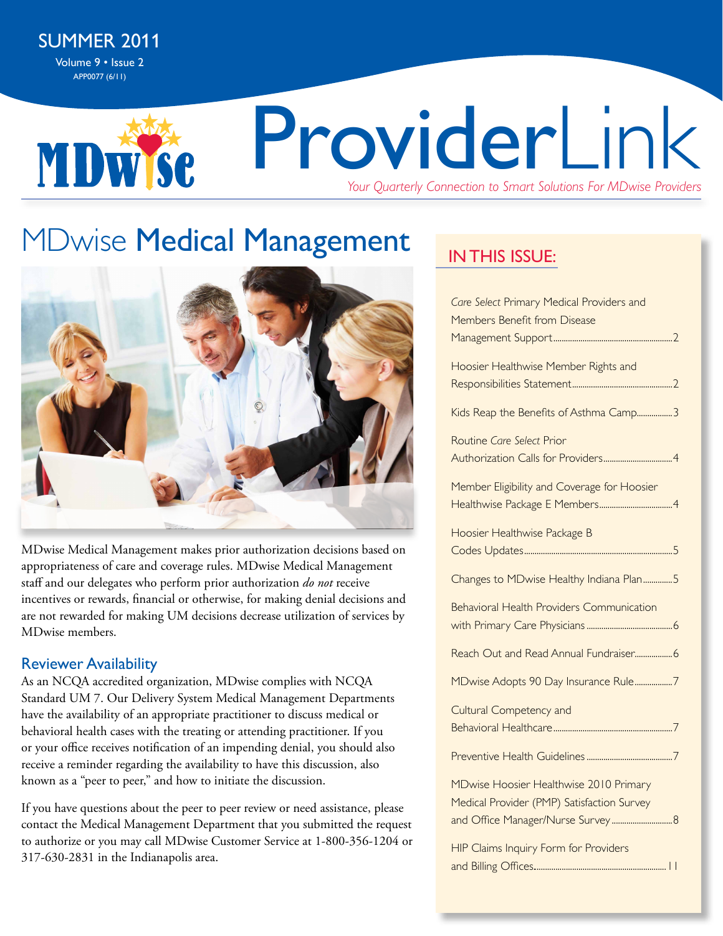**MDWSC** 

# ProviderLink *Your Quarterly Connection to Smart Solutions For MDwise Providers*

# **MDwise Medical Management**



MDwise Medical Management makes prior authorization decisions based on appropriateness of care and coverage rules. MDwise Medical Management staff and our delegates who perform prior authorization *do not* receive incentives or rewards, financial or otherwise, for making denial decisions and are not rewarded for making UM decisions decrease utilization of services by MDwise members.

#### Reviewer Availability

As an NCQA accredited organization, MDwise complies with NCQA Standard UM 7. Our Delivery System Medical Management Departments have the availability of an appropriate practitioner to discuss medical or behavioral health cases with the treating or attending practitioner. If you or your office receives notification of an impending denial, you should also receive a reminder regarding the availability to have this discussion, also known as a "peer to peer," and how to initiate the discussion.

If you have questions about the peer to peer review or need assistance, please contact the Medical Management Department that you submitted the request to authorize or you may call MDwise Customer Service at 1-800-356-1204 or 317-630-2831 in the Indianapolis area.

### **IN THIS ISSUE:**

| Care Select Primary Medical Providers and<br>Members Benefit from Disease |
|---------------------------------------------------------------------------|
|                                                                           |
| Hoosier Healthwise Member Rights and                                      |
| Kids Reap the Benefits of Asthma Camp3                                    |
| Routine Care Select Prior                                                 |
| Member Eligibility and Coverage for Hoosier                               |
| Hoosier Healthwise Package B                                              |
| Changes to MDwise Healthy Indiana Plan5                                   |
| <b>Behavioral Health Providers Communication</b>                          |
| Reach Out and Read Annual Fundraiser6                                     |
| MDwise Adopts 90 Day Insurance Rule7                                      |
| Cultural Competency and                                                   |
|                                                                           |
|                                                                           |
| MDwise Hoosier Healthwise 2010 Primary                                    |
| Medical Provider (PMP) Satisfaction Survey                                |
| and Office Manager/Nurse Survey 8                                         |
| HIP Claims Inquiry Form for Providers                                     |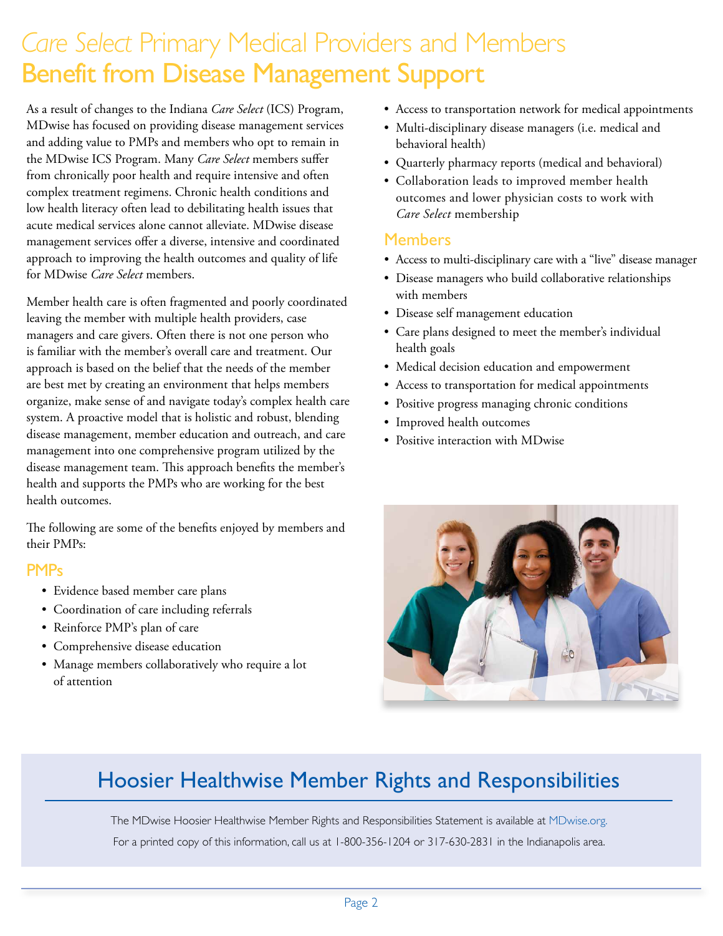### *Care Select* Primary Medical Providers and Members Benefit from Disease Management Support

As a result of changes to the Indiana *Care Select* (ICS) Program, MDwise has focused on providing disease management services and adding value to PMPs and members who opt to remain in the MDwise ICS Program. Many *Care Select* members suffer from chronically poor health and require intensive and often complex treatment regimens. Chronic health conditions and low health literacy often lead to debilitating health issues that acute medical services alone cannot alleviate. MDwise disease management services offer a diverse, intensive and coordinated approach to improving the health outcomes and quality of life for MDwise *Care Select* members.

Member health care is often fragmented and poorly coordinated leaving the member with multiple health providers, case managers and care givers. Often there is not one person who is familiar with the member's overall care and treatment. Our approach is based on the belief that the needs of the member are best met by creating an environment that helps members organize, make sense of and navigate today's complex health care system. A proactive model that is holistic and robust, blending disease management, member education and outreach, and care management into one comprehensive program utilized by the disease management team. This approach benefits the member's health and supports the PMPs who are working for the best health outcomes.

The following are some of the benefits enjoyed by members and their PMPs:

#### **PMPs**

- • Evidence based member care plans
- • Coordination of care including referrals
- • Reinforce PMP's plan of care
- • Comprehensive disease education
- Manage members collaboratively who require a lot of attention
- • Access to transportation network for medical appointments
- Multi-disciplinary disease managers (i.e. medical and behavioral health)
- • Quarterly pharmacy reports (medical and behavioral)
- • Collaboration leads to improved member health outcomes and lower physician costs to work with *Care Select* membership

#### Members

- • Access to multi-disciplinary care with a "live" disease manager
- • Disease managers who build collaborative relationships with members
- • Disease self management education
- Care plans designed to meet the member's individual health goals
- • Medical decision education and empowerment
- • Access to transportation for medical appointments
- • Positive progress managing chronic conditions
- • Improved health outcomes
- Positive interaction with MDwise



### Hoosier Healthwise Member Rights and Responsibilities

The MDwise Hoosier Healthwise Member Rights and Responsibilities Statement is available at [MDwise.org.](http://mdwise.org) For a printed copy of this information, call us at 1-800-356-1204 or 317-630-2831 in the Indianapolis area.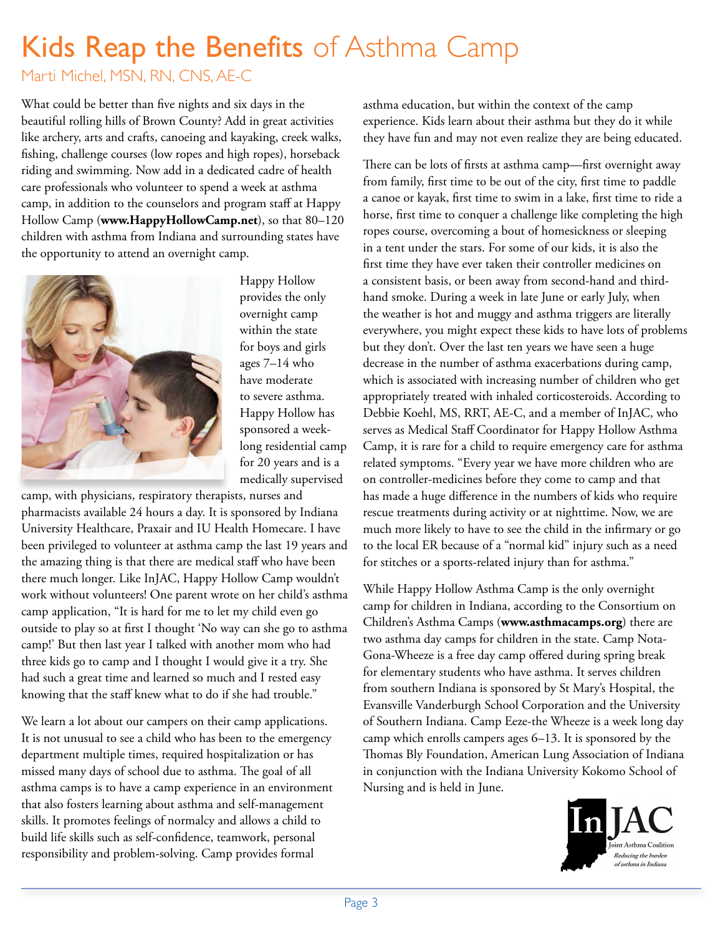# Kids Reap the Benefits of Asthma Camp

Marti Michel, MSN, RN, CNS, AE-C

What could be better than five nights and six days in the beautiful rolling hills of Brown County? Add in great activities like archery, arts and crafts, canoeing and kayaking, creek walks, fishing, challenge courses (low ropes and high ropes), horseback riding and swimming. Now add in a dedicated cadre of health care professionals who volunteer to spend a week at asthma camp, in addition to the counselors and program staff at Happy Hollow Camp (**[www.HappyHollowCamp.net](http://www.HappyHollowCamp.net)**), so that 80–120 children with asthma from Indiana and surrounding states have the opportunity to attend an overnight camp.



Happy Hollow provides the only overnight camp within the state for boys and girls ages 7–14 who have moderate to severe asthma. Happy Hollow has sponsored a weeklong residential camp for 20 years and is a medically supervised

camp, with physicians, respiratory therapists, nurses and pharmacists available 24 hours a day. It is sponsored by Indiana University Healthcare, Praxair and IU Health Homecare. I have been privileged to volunteer at asthma camp the last 19 years and the amazing thing is that there are medical staff who have been there much longer. Like InJAC, Happy Hollow Camp wouldn't work without volunteers! One parent wrote on her child's asthma camp application, "It is hard for me to let my child even go outside to play so at first I thought 'No way can she go to asthma camp!' But then last year I talked with another mom who had three kids go to camp and I thought I would give it a try. She had such a great time and learned so much and I rested easy knowing that the staff knew what to do if she had trouble."

We learn a lot about our campers on their camp applications. It is not unusual to see a child who has been to the emergency department multiple times, required hospitalization or has missed many days of school due to asthma. The goal of all asthma camps is to have a camp experience in an environment that also fosters learning about asthma and self-management skills. It promotes feelings of normalcy and allows a child to build life skills such as self-confidence, teamwork, personal responsibility and problem-solving. Camp provides formal

asthma education, but within the context of the camp experience. Kids learn about their asthma but they do it while they have fun and may not even realize they are being educated.

There can be lots of firsts at asthma camp—first overnight away from family, first time to be out of the city, first time to paddle a canoe or kayak, first time to swim in a lake, first time to ride a horse, first time to conquer a challenge like completing the high ropes course, overcoming a bout of homesickness or sleeping in a tent under the stars. For some of our kids, it is also the first time they have ever taken their controller medicines on a consistent basis, or been away from second-hand and thirdhand smoke. During a week in late June or early July, when the weather is hot and muggy and asthma triggers are literally everywhere, you might expect these kids to have lots of problems but they don't. Over the last ten years we have seen a huge decrease in the number of asthma exacerbations during camp, which is associated with increasing number of children who get appropriately treated with inhaled corticosteroids. According to Debbie Koehl, MS, RRT, AE-C, and a member of InJAC, who serves as Medical Staff Coordinator for Happy Hollow Asthma Camp, it is rare for a child to require emergency care for asthma related symptoms. "Every year we have more children who are on controller-medicines before they come to camp and that has made a huge difference in the numbers of kids who require rescue treatments during activity or at nighttime. Now, we are much more likely to have to see the child in the infirmary or go to the local ER because of a "normal kid" injury such as a need for stitches or a sports-related injury than for asthma."

While Happy Hollow Asthma Camp is the only overnight camp for children in Indiana, according to the Consortium on Children's Asthma Camps (**[www.asthmacamps.org](http://www.asthmacamps.org)**) there are two asthma day camps for children in the state. Camp Nota-Gona-Wheeze is a free day camp offered during spring break for elementary students who have asthma. It serves children from southern Indiana is sponsored by St Mary's Hospital, the Evansville Vanderburgh School Corporation and the University of Southern Indiana. Camp Eeze-the Wheeze is a week long day camp which enrolls campers ages 6–13. It is sponsored by the Thomas Bly Foundation, American Lung Association of Indiana in conjunction with the Indiana University Kokomo School of Nursing and is held in June.

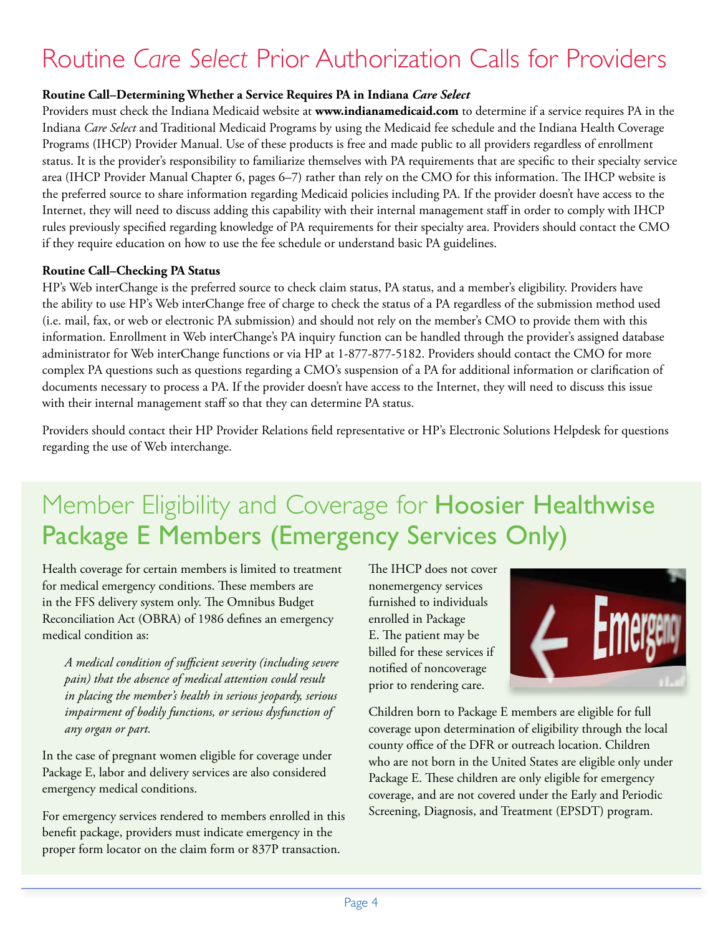# Routine *Care Select* Prior Authorization Calls for Providers

#### **Routine Call–Determining Whether a Service Requires PA in Indiana** *Care Select*

Providers must check the Indiana Medicaid website at **[www.indianamedicaid.com](http://www.indianamedicaid.com)** to determine if a service requires PA in the Indiana *Care Select* and Traditional Medicaid Programs by using the Medicaid fee schedule and the Indiana Health Coverage Programs (IHCP) Provider Manual. Use of these products is free and made public to all providers regardless of enrollment status. It is the provider's responsibility to familiarize themselves with PA requirements that are specific to their specialty service area (IHCP Provider Manual Chapter 6, pages 6–7) rather than rely on the CMO for this information. The IHCP website is the preferred source to share information regarding Medicaid policies including PA. If the provider doesn't have access to the Internet, they will need to discuss adding this capability with their internal management staff in order to comply with IHCP rules previously specified regarding knowledge of PA requirements for their specialty area. Providers should contact the CMO if they require education on how to use the fee schedule or understand basic PA guidelines.

#### **Routine Call–Checking PA Status**

HP's Web interChange is the preferred source to check claim status, PA status, and a member's eligibility. Providers have the ability to use HP's Web interChange free of charge to check the status of a PA regardless of the submission method used (i.e. mail, fax, or web or electronic PA submission) and should not rely on the member's CMO to provide them with this information. Enrollment in Web interChange's PA inquiry function can be handled through the provider's assigned database administrator for Web interChange functions or via HP at 1-877-877-5182. Providers should contact the CMO for more complex PA questions such as questions regarding a CMO's suspension of a PA for additional information or clarification of documents necessary to process a PA. If the provider doesn't have access to the Internet, they will need to discuss this issue with their internal management staff so that they can determine PA status.

Providers should contact their HP Provider Relations field representative or HP's Electronic Solutions Helpdesk for questions regarding the use of Web interchange.

## Member Eligibility and Coverage for Hoosier Healthwise Package E Members (Emergency Services Only)

Health coverage for certain members is limited to treatment for medical emergency conditions. These members are in the FFS delivery system only. The Omnibus Budget Reconciliation Act (OBRA) of 1986 defines an emergency medical condition as:

*A medical condition of sufficient severity (including severe pain) that the absence of medical attention could result in placing the member's health in serious jeopardy, serious impairment of bodily functions, or serious dysfunction of any organ or part.* 

In the case of pregnant women eligible for coverage under Package E, labor and delivery services are also considered emergency medical conditions.

For emergency services rendered to members enrolled in this benefit package, providers must indicate emergency in the proper form locator on the claim form or 837P transaction.

The IHCP does not cover nonemergency services furnished to individuals enrolled in Package E. The patient may be billed for these services if notified of noncoverage prior to rendering care.



Children born to Package E members are eligible for full coverage upon determination of eligibility through the local county office of the DFR or outreach location. Children who are not born in the United States are eligible only under Package E. These children are only eligible for emergency coverage, and are not covered under the Early and Periodic Screening, Diagnosis, and Treatment (EPSDT) program.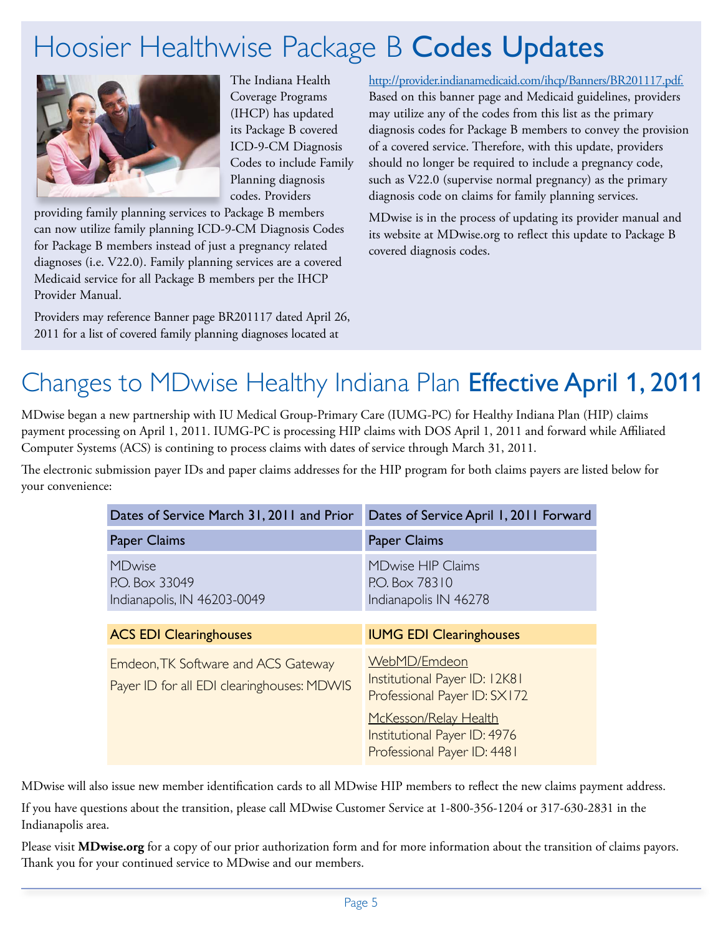# Hoosier Healthwise Package B Codes Updates



The Indiana Health Coverage Programs (IHCP) has updated its Package B covered ICD-9-CM Diagnosis Codes to include Family Planning diagnosis codes. Providers

providing family planning services to Package B members can now utilize family planning ICD-9-CM Diagnosis Codes for Package B members instead of just a pregnancy related diagnoses (i.e. V22.0). Family planning services are a covered Medicaid service for all Package B members per the IHCP Provider Manual.

Providers may reference Banner page BR201117 dated April 26, 2011 for a list of covered family planning diagnoses located at

[http://provider.indianamedicaid.com/ihcp/Banners/BR201117.pdf.](http://provider.indianamedicaid.com/ihcp/Banners/BR201117.pdf) Based on this banner page and Medicaid guidelines, providers may utilize any of the codes from this list as the primary diagnosis codes for Package B members to convey the provision of a covered service. Therefore, with this update, providers should no longer be required to include a pregnancy code, such as V22.0 (supervise normal pregnancy) as the primary diagnosis code on claims for family planning services.

MDwise is in the process of updating its provider manual and its website at MDwise.org to reflect this update to Package B covered diagnosis codes.

# Changes to MDwise Healthy Indiana Plan Effective April 1, 2011

MDwise began a new partnership with IU Medical Group-Primary Care (IUMG-PC) for Healthy Indiana Plan (HIP) claims payment processing on April 1, 2011. IUMG-PC is processing HIP claims with DOS April 1, 2011 and forward while Affiliated Computer Systems (ACS) is contining to process claims with dates of service through March 31, 2011.

The electronic submission payer IDs and paper claims addresses for the HIP program for both claims payers are listed below for your convenience:

| Dates of Service March 31, 2011 and Prior                                         | Dates of Service April 1, 2011 Forward                                               |
|-----------------------------------------------------------------------------------|--------------------------------------------------------------------------------------|
| Paper Claims                                                                      | Paper Claims                                                                         |
| <b>MDwise</b><br>P.O. Box 33049<br>Indianapolis, IN 46203-0049                    | <b>MDwise HIP Claims</b><br>P.O. Box 78310<br>Indianapolis IN 46278                  |
| <b>ACS EDI Clearinghouses</b>                                                     | <b>IUMG EDI Clearinghouses</b>                                                       |
| Emdeon, TK Software and ACS Gateway<br>Payer ID for all EDI clearinghouses: MDWIS | WebMD/Emdeon<br>Institutional Payer ID: 12K81<br>Professional Payer ID: SX172        |
|                                                                                   | McKesson/Relay Health<br>Institutional Payer ID: 4976<br>Professional Payer ID: 4481 |

MDwise will also issue new member identification cards to all MDwise HIP members to reflect the new claims payment address.

If you have questions about the transition, please call MDwise Customer Service at 1-800-356-1204 or 317-630-2831 in the Indianapolis area.

Please visit **[MDwise.org](http://MDwise.org)** for a copy of our prior authorization form and for more information about the transition of claims payors. Thank you for your continued service to MDwise and our members.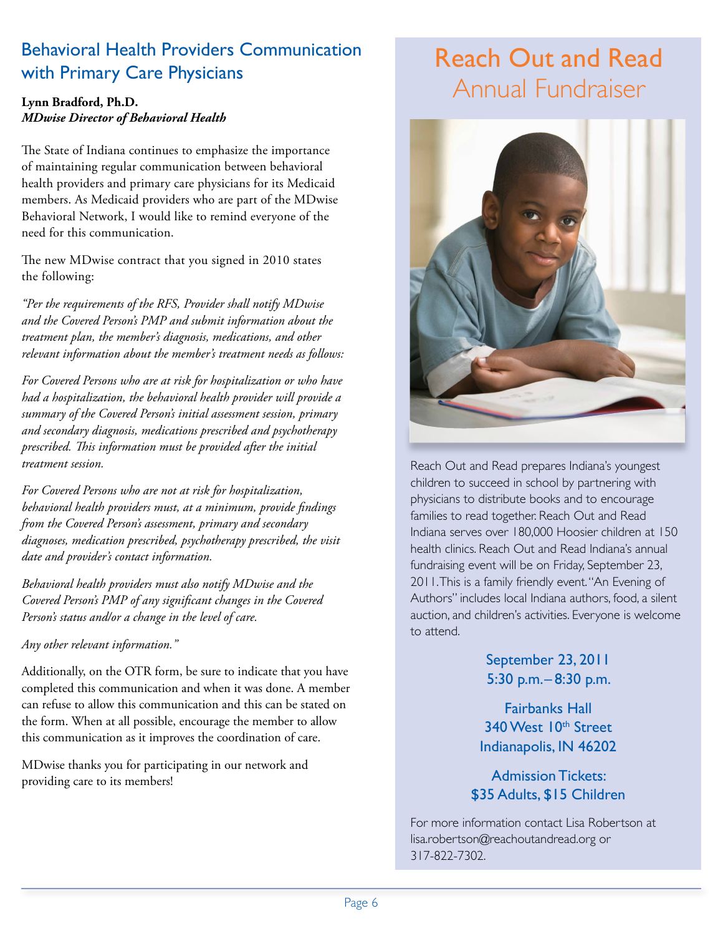### Behavioral Health Providers Communication with Primary Care Physicians

#### **Lynn Bradford, Ph.D.**  *MDwise Director of Behavioral Health*

The State of Indiana continues to emphasize the importance of maintaining regular communication between behavioral health providers and primary care physicians for its Medicaid members. As Medicaid providers who are part of the MDwise Behavioral Network, I would like to remind everyone of the need for this communication.

The new MDwise contract that you signed in 2010 states the following:

*"Per the requirements of the RFS, Provider shall notify MDwise and the Covered Person's PMP and submit information about the treatment plan, the member's diagnosis, medications, and other relevant information about the member's treatment needs as follows:*

*For Covered Persons who are at risk for hospitalization or who have had a hospitalization, the behavioral health provider will provide a summary of the Covered Person's initial assessment session, primary and secondary diagnosis, medications prescribed and psychotherapy prescribed. This information must be provided after the initial treatment session.* 

*For Covered Persons who are not at risk for hospitalization, behavioral health providers must, at a minimum, provide findings from the Covered Person's assessment, primary and secondary diagnoses, medication prescribed, psychotherapy prescribed, the visit date and provider's contact information.* 

*Behavioral health providers must also notify MDwise and the Covered Person's PMP of any significant changes in the Covered Person's status and/or a change in the level of care.* 

*Any other relevant information."*

Additionally, on the OTR form, be sure to indicate that you have completed this communication and when it was done. A member can refuse to allow this communication and this can be stated on the form. When at all possible, encourage the member to allow this communication as it improves the coordination of care.

MDwise thanks you for participating in our network and providing care to its members!

### Reach Out and Read Annual Fundraiser



Reach Out and Read prepares Indiana's youngest children to succeed in school by partnering with physicians to distribute books and to encourage families to read together. Reach Out and Read Indiana serves over 180,000 Hoosier children at 150 health clinics. Reach Out and Read Indiana's annual fundraising event will be on Friday, September 23, 2011. This is a family friendly event. "An Evening of Authors" includes local Indiana authors, food, a silent auction, and children's activities. Everyone is welcome to attend.

> September 23, 2011 5:30 p.m.– 8:30 p.m.

Fairbanks Hall 340 West 10<sup>th</sup> Street Indianapolis, IN 46202

Admission Tickets: \$35 Adults, \$15 Children

For more information contact Lisa Robertson at [lisa.robertson@reachoutandread.org](mailto:lisa.robertson%40reachoutandread.org?subject=) or 317-822-7302.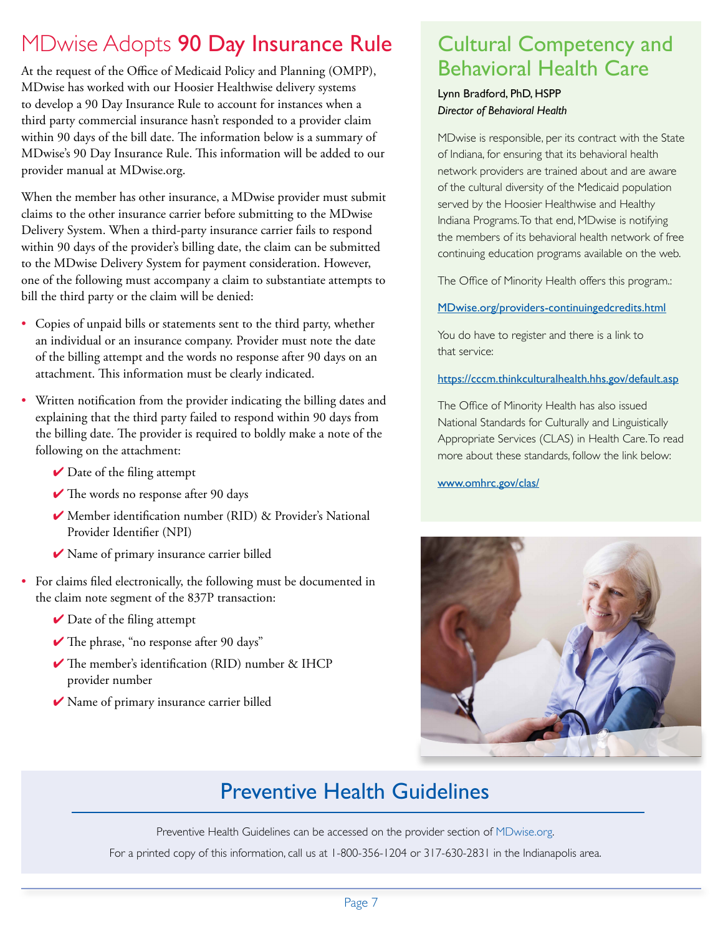### MDwise Adopts 90 Day Insurance Rule Cultural Competency and

At the request of the Office of Medicaid Policy and Planning (OMPP), MDwise has worked with our Hoosier Healthwise delivery systems to develop a 90 Day Insurance Rule to account for instances when a third party commercial insurance hasn't responded to a provider claim within 90 days of the bill date. The information below is a summary of MDwise's 90 Day Insurance Rule. This information will be added to our provider manual at MDwise.org.

When the member has other insurance, a MDwise provider must submit claims to the other insurance carrier before submitting to the MDwise Delivery System. When a third-party insurance carrier fails to respond within 90 days of the provider's billing date, the claim can be submitted to the MDwise Delivery System for payment consideration. However, one of the following must accompany a claim to substantiate attempts to bill the third party or the claim will be denied:

- Copies of unpaid bills or statements sent to the third party, whether an individual or an insurance company. Provider must note the date of the billing attempt and the words no response after 90 days on an attachment. This information must be clearly indicated.
- Written notification from the provider indicating the billing dates and explaining that the third party failed to respond within 90 days from the billing date. The provider is required to boldly make a note of the following on the attachment:
	- $\vee$  Date of the filing attempt
	- $\checkmark$  The words no response after 90 days
	- $\blacktriangleright$  Member identification number (RID) & Provider's National Provider Identifier (NPI)
	- ◆ Name of primary insurance carrier billed
- For claims filed electronically, the following must be documented in the claim note segment of the 837P transaction:
	- $\vee$  Date of the filing attempt
	- ✔ The phrase, "no response after 90 days"
	- $\blacktriangledown$  The member's identification (RID) number & IHCP provider number
	- ◆ Name of primary insurance carrier billed

# Behavioral Health Care

#### Lynn Bradford, PhD, HSPP *Director of Behavioral Health*

MDwise is responsible, per its contract with the State of Indiana, for ensuring that its behavioral health network providers are trained about and are aware of the cultural diversity of the Medicaid population served by the Hoosier Healthwise and Healthy Indiana Programs. To that end, MDwise is notifying the members of its behavioral health network of free continuing education programs available on the web.

The Office of Minority Health offers this program.:

#### [MDwise.org/providers-continuingedcredits.html](http://MDwise.org/providers-continuingedcredits.html)

You do have to register and there is a link to that service:

#### <https://cccm.thinkculturalhealth.hhs.gov/default.asp>

The Office of Minority Health has also issued National Standards for Culturally and Linguistically Appropriate Services (CLAS) in Health Care. To read more about these standards, follow the link below:

#### [www.omhrc.gov/clas/](http://www.omhrc.gov/clas/)



### Preventive Health Guidelines

Preventive Health Guidelines can be accessed on the provider section of [MDwise.org](http://MDwise.org).

For a printed copy of this information, call us at 1-800-356-1204 or 317-630-2831 in the Indianapolis area.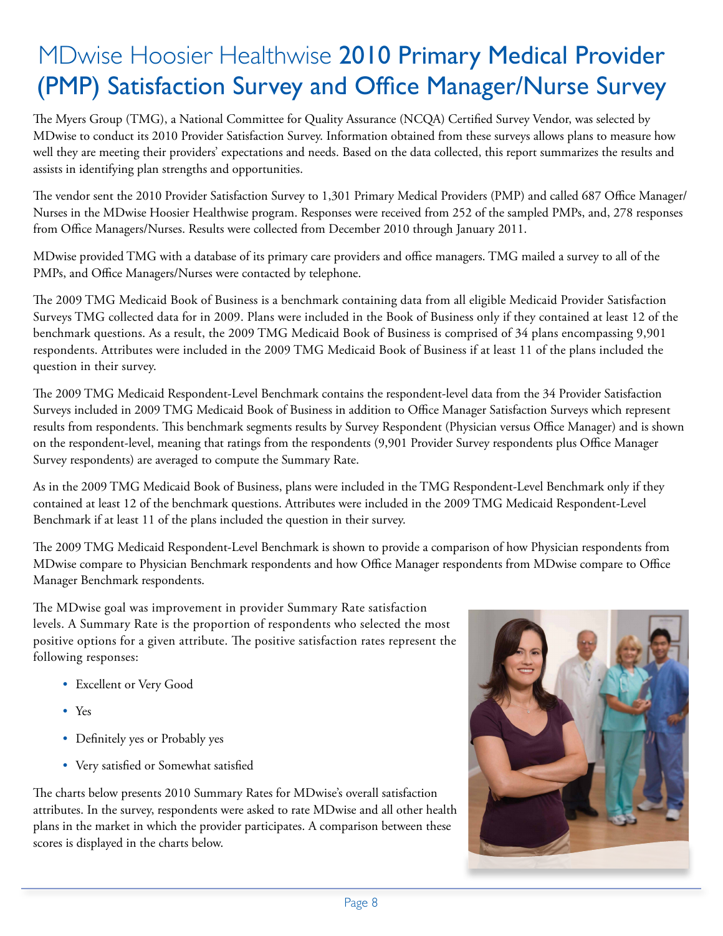# MDwise Hoosier Healthwise 2010 Primary Medical Provider (PMP) Satisfaction Survey and Office Manager/Nurse Survey

The Myers Group (TMG), a National Committee for Quality Assurance (NCQA) Certified Survey Vendor, was selected by MDwise to conduct its 2010 Provider Satisfaction Survey. Information obtained from these surveys allows plans to measure how well they are meeting their providers' expectations and needs. Based on the data collected, this report summarizes the results and assists in identifying plan strengths and opportunities.

The vendor sent the 2010 Provider Satisfaction Survey to 1,301 Primary Medical Providers (PMP) and called 687 Office Manager/ Nurses in the MDwise Hoosier Healthwise program. Responses were received from 252 of the sampled PMPs, and, 278 responses from Office Managers/Nurses. Results were collected from December 2010 through January 2011.

MDwise provided TMG with a database of its primary care providers and office managers. TMG mailed a survey to all of the PMPs, and Office Managers/Nurses were contacted by telephone.

The 2009 TMG Medicaid Book of Business is a benchmark containing data from all eligible Medicaid Provider Satisfaction Surveys TMG collected data for in 2009. Plans were included in the Book of Business only if they contained at least 12 of the benchmark questions. As a result, the 2009 TMG Medicaid Book of Business is comprised of 34 plans encompassing 9,901 respondents. Attributes were included in the 2009 TMG Medicaid Book of Business if at least 11 of the plans included the question in their survey.

The 2009 TMG Medicaid Respondent-Level Benchmark contains the respondent-level data from the 34 Provider Satisfaction Surveys included in 2009 TMG Medicaid Book of Business in addition to Office Manager Satisfaction Surveys which represent results from respondents. This benchmark segments results by Survey Respondent (Physician versus Office Manager) and is shown on the respondent-level, meaning that ratings from the respondents (9,901 Provider Survey respondents plus Office Manager Survey respondents) are averaged to compute the Summary Rate.

As in the 2009 TMG Medicaid Book of Business, plans were included in the TMG Respondent-Level Benchmark only if they contained at least 12 of the benchmark questions. Attributes were included in the 2009 TMG Medicaid Respondent-Level Benchmark if at least 11 of the plans included the question in their survey.

The 2009 TMG Medicaid Respondent-Level Benchmark is shown to provide a comparison of how Physician respondents from MDwise compare to Physician Benchmark respondents and how Office Manager respondents from MDwise compare to Office Manager Benchmark respondents.

The MDwise goal was improvement in provider Summary Rate satisfaction levels. A Summary Rate is the proportion of respondents who selected the most positive options for a given attribute. The positive satisfaction rates represent the following responses:

- • Excellent or Very Good
- Yes
- Definitely yes or Probably yes
- • Very satisfied or Somewhat satisfied

The charts below presents 2010 Summary Rates for MDwise's overall satisfaction attributes. In the survey, respondents were asked to rate MDwise and all other health plans in the market in which the provider participates. A comparison between these scores is displayed in the charts below.

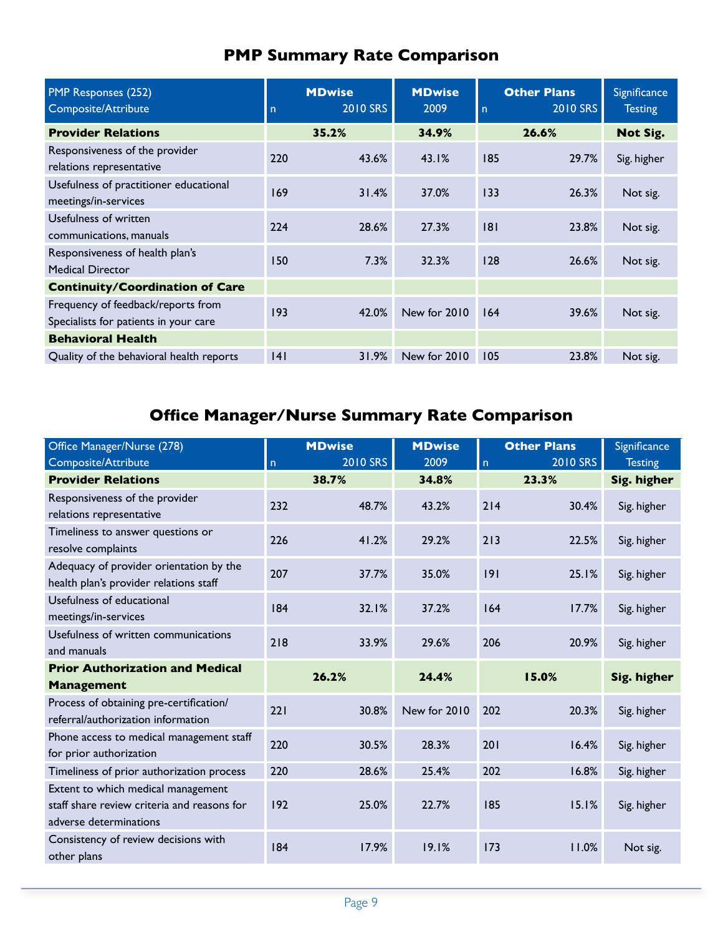| PMP Responses (252)<br>Composite/Attribute                                  | n   | <b>MDwise</b><br>2010 SRS | <b>MDwise</b><br>2009 | $\overline{n}$ | <b>Other Plans</b><br>2010 SRS | Significance<br><b>Testing</b> |
|-----------------------------------------------------------------------------|-----|---------------------------|-----------------------|----------------|--------------------------------|--------------------------------|
| <b>Provider Relations</b>                                                   |     | 35.2%                     | 34.9%                 |                | 26.6%                          | Not Sig.                       |
| Responsiveness of the provider<br>relations representative                  | 220 | 43.6%                     | 43.1%                 | 185            | 29.7%                          | Sig. higher                    |
| Usefulness of practitioner educational<br>meetings/in-services              | 169 | 31.4%                     | 37.0%                 | 133            | 26.3%                          | Not sig.                       |
| Usefulness of written<br>communications, manuals                            | 224 | 28.6%                     | 27.3%                 | 8              | 23.8%                          | Not sig.                       |
| Responsiveness of health plan's<br><b>Medical Director</b>                  | 150 | $7.3\%$                   | 32.3%                 | 128            | 26.6%                          | Not sig.                       |
| <b>Continuity/Coordination of Care</b>                                      |     |                           |                       |                |                                |                                |
| Frequency of feedback/reports from<br>Specialists for patients in your care | 193 | 42.0%                     | New for 2010          | 164            | 39.6%                          | Not sig.                       |
| <b>Behavioral Health</b>                                                    |     |                           |                       |                |                                |                                |
| Quality of the behavioral health reports                                    | 4   | 31.9%                     | New for 2010          | 105            | 23.8%                          | Not sig.                       |

### **PMP Summary Rate Comparison**

### **Office Manager/Nurse Summary Rate Comparison**

| Office Manager/Nurse (278)                                                                                  |              | <b>MDwise</b> | <b>MDwise</b> |     | <b>Other Plans</b> | Significance   |
|-------------------------------------------------------------------------------------------------------------|--------------|---------------|---------------|-----|--------------------|----------------|
| Composite/Attribute                                                                                         | $\mathsf{n}$ | 2010 SRS      | 2009          | n   | 2010 SRS           | <b>Testing</b> |
| <b>Provider Relations</b>                                                                                   |              | 38.7%         | 34.8%         |     | 23.3%              | Sig. higher    |
| Responsiveness of the provider<br>relations representative                                                  | 232          | 48.7%         | 43.2%         | 214 | 30.4%              | Sig. higher    |
| Timeliness to answer questions or<br>resolve complaints                                                     | 226          | 41.2%         | 29.2%         | 213 | 22.5%              | Sig. higher    |
| Adequacy of provider orientation by the<br>health plan's provider relations staff                           | 207          | 37.7%         | 35.0%         | 9   | 25.1%              | Sig. higher    |
| Usefulness of educational<br>meetings/in-services                                                           | 184          | 32.1%         | 37.2%         | 164 | 17.7%              | Sig. higher    |
| Usefulness of written communications<br>and manuals                                                         | 218          | 33.9%         | 29.6%         | 206 | 20.9%              | Sig. higher    |
| <b>Prior Authorization and Medical</b>                                                                      |              | 26.2%         | 24.4%         |     | 15.0%              | Sig. higher    |
| <b>Management</b>                                                                                           |              |               |               |     |                    |                |
| Process of obtaining pre-certification/<br>referral/authorization information                               | 221          | 30.8%         | New for 2010  | 202 | 20.3%              | Sig. higher    |
| Phone access to medical management staff<br>for prior authorization                                         | 220          | 30.5%         | 28.3%         | 201 | 16.4%              | Sig. higher    |
| Timeliness of prior authorization process                                                                   | 220          | 28.6%         | 25.4%         | 202 | 16.8%              | Sig. higher    |
| Extent to which medical management<br>staff share review criteria and reasons for<br>adverse determinations | 192          | 25.0%         | 22.7%         | 185 | 15.1%              | Sig. higher    |
| Consistency of review decisions with<br>other plans                                                         | 184          | 17.9%         | 19.1%         | 173 | 11.0%              | Not sig.       |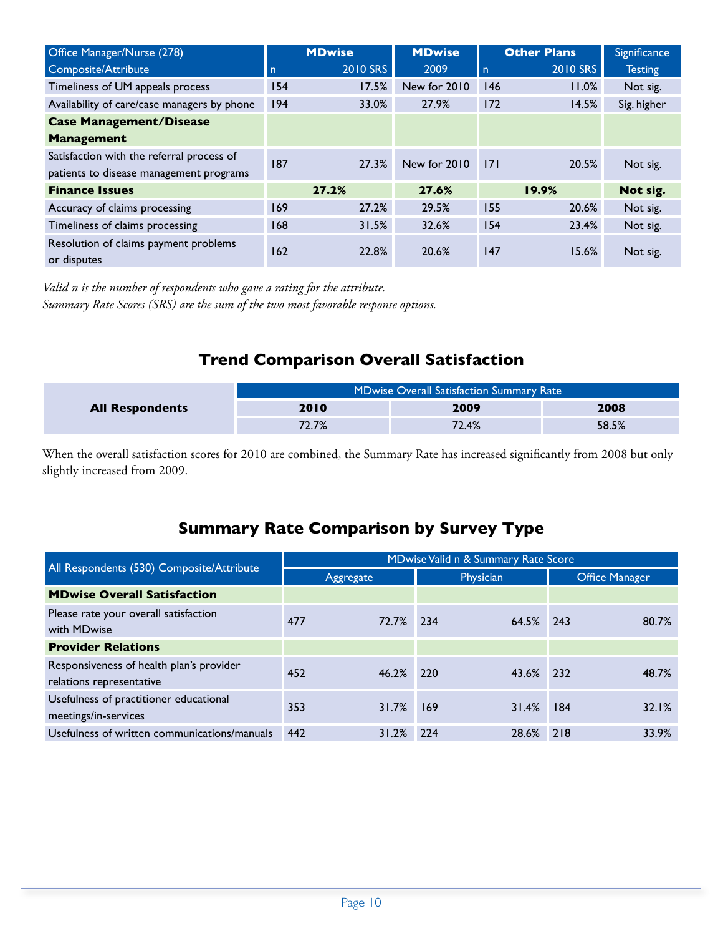| Office Manager/Nurse (278)                           |          | <b>MDwise</b> | <b>MDwise</b> |     | <b>Other Plans</b> | Significance   |
|------------------------------------------------------|----------|---------------|---------------|-----|--------------------|----------------|
| Composite/Attribute                                  | <b>n</b> | 2010 SRS      | 2009          | l n | 2010 SRS           | <b>Testing</b> |
| Timeliness of UM appeals process                     | 154      | 17.5%         | New for 2010  | 146 | 11.0%              | Not sig.       |
| Availability of care/case managers by phone          | 194      | 33.0%         | 27.9%         | 172 | 14.5%              | Sig. higher    |
| <b>Case Management/Disease</b>                       |          |               |               |     |                    |                |
| <b>Management</b>                                    |          |               |               |     |                    |                |
| Satisfaction with the referral process of            | 187      | 27.3%         | New for 2010  | 171 | 20.5%              |                |
| patients to disease management programs              |          |               |               |     |                    | Not sig.       |
| <b>Finance Issues</b>                                |          | 27.2%         | 27.6%         |     | 19.9%              | Not sig.       |
| Accuracy of claims processing                        | 169      | 27.2%         | 29.5%         | 155 | 20.6%              | Not sig.       |
| Timeliness of claims processing                      | 168      | 31.5%         | 32.6%         | 154 | 23.4%              | Not sig.       |
| Resolution of claims payment problems<br>or disputes | 162      | 22.8%         | 20.6%         | 147 | 15.6%              | Not sig.       |

*Valid n is the number of respondents who gave a rating for the attribute. Summary Rate Scores (SRS) are the sum of the two most favorable response options.*

### **Trend Comparison Overall Satisfaction**

|                        |       | <b>MDwise Overall Satisfaction Summary Rate</b> |       |
|------------------------|-------|-------------------------------------------------|-------|
| <b>All Respondents</b> | 2010  | 2009                                            | 2008  |
|                        | 72.7% | 72.4%                                           | 58.5% |

When the overall satisfaction scores for 2010 are combined, the Summary Rate has increased significantly from 2008 but only slightly increased from 2009.

### **Summary Rate Comparison by Survey Type**

|                                                                      |     |           |     | MDwise Valid n & Summary Rate Score |     |                       |
|----------------------------------------------------------------------|-----|-----------|-----|-------------------------------------|-----|-----------------------|
| All Respondents (530) Composite/Attribute                            |     | Aggregate |     | Physician                           |     | <b>Office Manager</b> |
| <b>MDwise Overall Satisfaction</b>                                   |     |           |     |                                     |     |                       |
| Please rate your overall satisfaction<br>with MDwise                 | 477 | 72.7%     | 234 | 64.5% 243                           |     | 80.7%                 |
| <b>Provider Relations</b>                                            |     |           |     |                                     |     |                       |
| Responsiveness of health plan's provider<br>relations representative | 452 | 46.2%     | 220 | 43.6% 232                           |     | 48.7%                 |
| Usefulness of practitioner educational<br>meetings/in-services       | 353 | 31.7%     | 169 | 31.4%                               | 184 | 32.1%                 |
| Usefulness of written communications/manuals                         | 442 | 31.2%     | 224 | 28.6%                               | 218 | 33.9%                 |